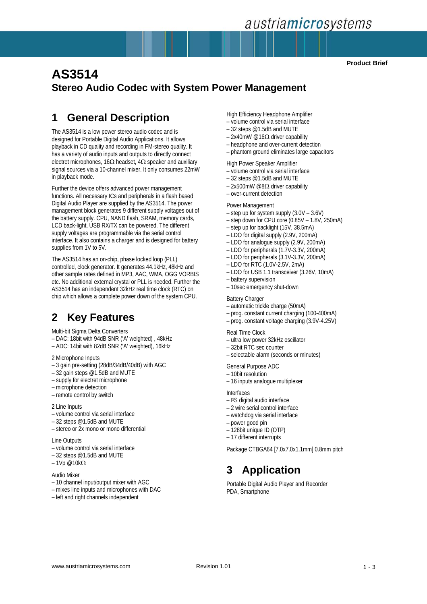## **AS3514 V12** *austriamicrosystems*

**Product Brief**

### **AS3514 Stereo Audio Codec with System Power Management**

### **1 General Description**

The AS3514 is a low power stereo audio codec and is designed for Portable Digital Audio Applications. It allows playback in CD quality and recording in FM-stereo quality. It has a variety of audio inputs and outputs to directly connect electret microphones,  $16Ω$  headset,  $4Ω$  speaker and auxiliary signal sources via a 10-channel mixer. It only consumes 22mW in playback mode.

Further the device offers advanced power management functions. All necessary ICs and peripherals in a flash based Digital Audio Player are supplied by the AS3514. The power management block generates 9 different supply voltages out of the battery supply. CPU, NAND flash, SRAM, memory cards, LCD back-light, USB RX/TX can be powered. The different supply voltages are programmable via the serial control interface. It also contains a charger and is designed for battery supplies from 1V to 5V.

The AS3514 has an on-chip, phase locked loop (PLL) controlled, clock generator. It generates 44.1kHz, 48kHz and other sample rates defined in MP3, AAC, WMA, OGG VORBIS etc. No additional external crystal or PLL is needed. Further the AS3514 has an independent 32kHz real time clock (RTC) on chip which allows a complete power down of the system CPU.

### **2 Key Features**

Multi-bit Sigma Delta Converters

- DAC: 18bit with 94dB SNR ('A' weighted) , 48kHz
- ADC: 14bit with 82dB SNR ('A' weighted), 16kHz
- 2 Microphone Inputs
- 3 gain pre-setting (28dB/34dB/40dB) with AGC
- $-32$  gain steps  $@1.5dB$  and MUTE
- supply for electret microphone
- microphone detection
- remote control by switch

#### 2 Line Inputs

- volume control via serial interface
- 32 steps @1.5dB and MUTE
- stereo or 2x mono or mono differential

#### Line Outputs

- volume control via serial interface
- 32 steps @1.5dB and MUTE
- 1Vp @10kΩ

#### Audio Mixer

- 10 channel input/output mixer with AGC
- mixes line inputs and microphones with DAC
- left and right channels independent

High Efficiency Headphone Amplifier

- volume control via serial interface
- 32 steps @1.5dB and MUTE
- 2x40mW @16Ω driver capability
- headphone and over-current detection
- phantom ground eliminates large capacitors

High Power Speaker Amplifier

- volume control via serial interface
- 32 steps @1.5dB and MUTE
- 2x500mW @8Ω driver capability – over-current detection
- 

#### Power Management

- step up for system supply (3.0V 3.6V)
- step down for CPU core (0.85V 1.8V, 250mA)
- step up for backlight (15V, 38.5mA)
- LDO for digital supply (2.9V, 200mA)
- LDO for analogue supply (2.9V, 200mA)
- LDO for peripherals (1.7V-3.3V, 200mA)
- LDO for peripherals (3.1V-3.3V, 200mA)
- $-$  LDO for RTC (1.0V-2.5V, 2mA)
- LDO for USB 1.1 transceiver (3.26V, 10mA)
- battery supervision
- 10sec emergency shut-down

#### **Battery Charger**

- automatic trickle charge (50mA)
- prog. constant current charging (100-400mA)
- prog. constant voltage charging (3.9V-4.25V)

#### Real Time Clock

- ultra low power 32kHz oscillator
- 32bit RTC sec counter
- selectable alarm (seconds or minutes)

General Purpose ADC

- 10bit resolution
- 16 inputs analogue multiplexer

#### Interfaces

- I²S digital audio interface
- 2 wire serial control interface
- watchdog via serial interface
- power good pin
- 128bit unique ID (OTP)
- 17 different interrupts

Package CTBGA64 [7.0x7.0x1.1mm] 0.8mm pitch

### **3 Application**

Portable Digital Audio Player and Recorder PDA, Smartphone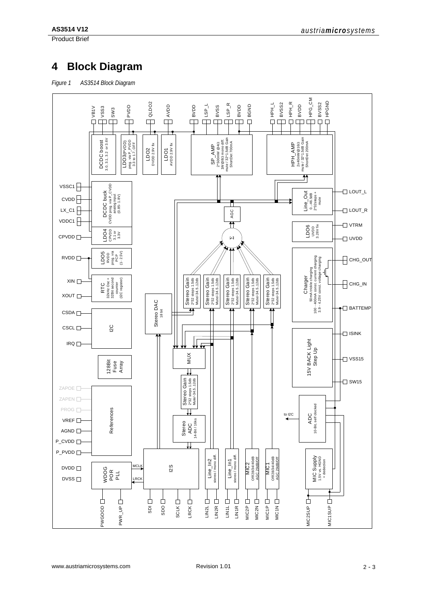Product Brief

### **4 Block Diagram**

*Figure 1 AS3514 Block Diagram*